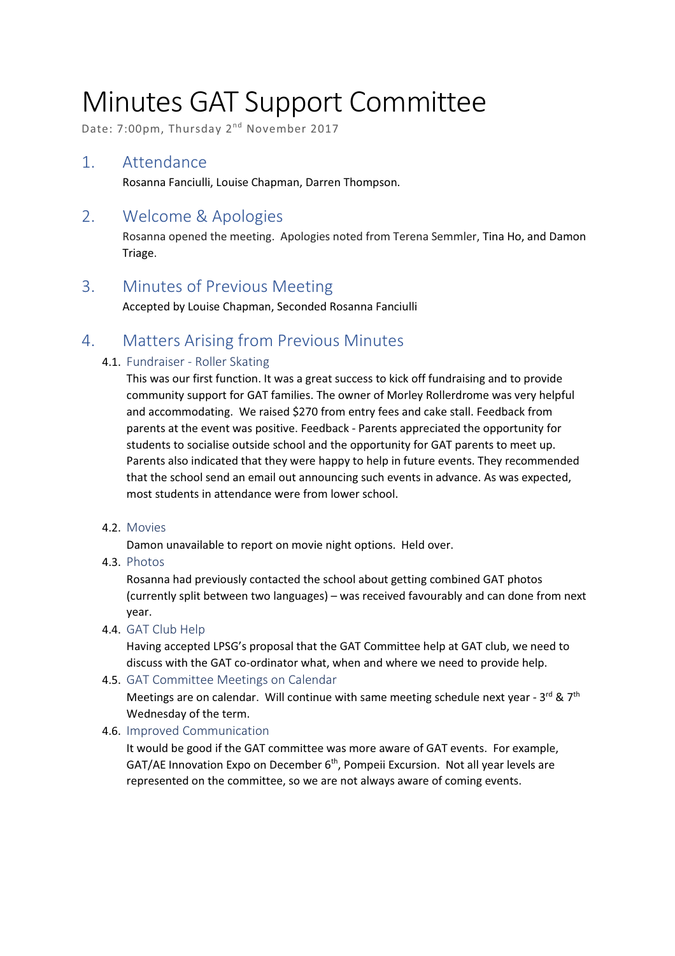# Minutes GAT Support Committee

Date: 7:00pm, Thursday 2<sup>nd</sup> November 2017

# 1. Attendance

Rosanna Fanciulli, Louise Chapman, Darren Thompson.

# 2. Welcome & Apologies

Rosanna opened the meeting. Apologies noted from Terena Semmler, Tina Ho, and Damon Triage.

# 3. Minutes of Previous Meeting

Accepted by Louise Chapman, Seconded Rosanna Fanciulli

# 4. Matters Arising from Previous Minutes

## 4.1. Fundraiser - Roller Skating

This was our first function. It was a great success to kick off fundraising and to provide community support for GAT families. The owner of Morley Rollerdrome was very helpful and accommodating. We raised \$270 from entry fees and cake stall. Feedback from parents at the event was positive. Feedback - Parents appreciated the opportunity for students to socialise outside school and the opportunity for GAT parents to meet up. Parents also indicated that they were happy to help in future events. They recommended that the school send an email out announcing such events in advance. As was expected, most students in attendance were from lower school.

#### 4.2. Movies

Damon unavailable to report on movie night options. Held over.

4.3. Photos

Rosanna had previously contacted the school about getting combined GAT photos (currently split between two languages) – was received favourably and can done from next year.

4.4. GAT Club Help

Having accepted LPSG's proposal that the GAT Committee help at GAT club, we need to discuss with the GAT co-ordinator what, when and where we need to provide help.

4.5. GAT Committee Meetings on Calendar

Meetings are on calendar. Will continue with same meeting schedule next year -  $3^{rd}$  &  $7^{th}$ Wednesday of the term.

## 4.6. Improved Communication

It would be good if the GAT committee was more aware of GAT events. For example, GAT/AE Innovation Expo on December  $6<sup>th</sup>$ , Pompeii Excursion. Not all year levels are represented on the committee, so we are not always aware of coming events.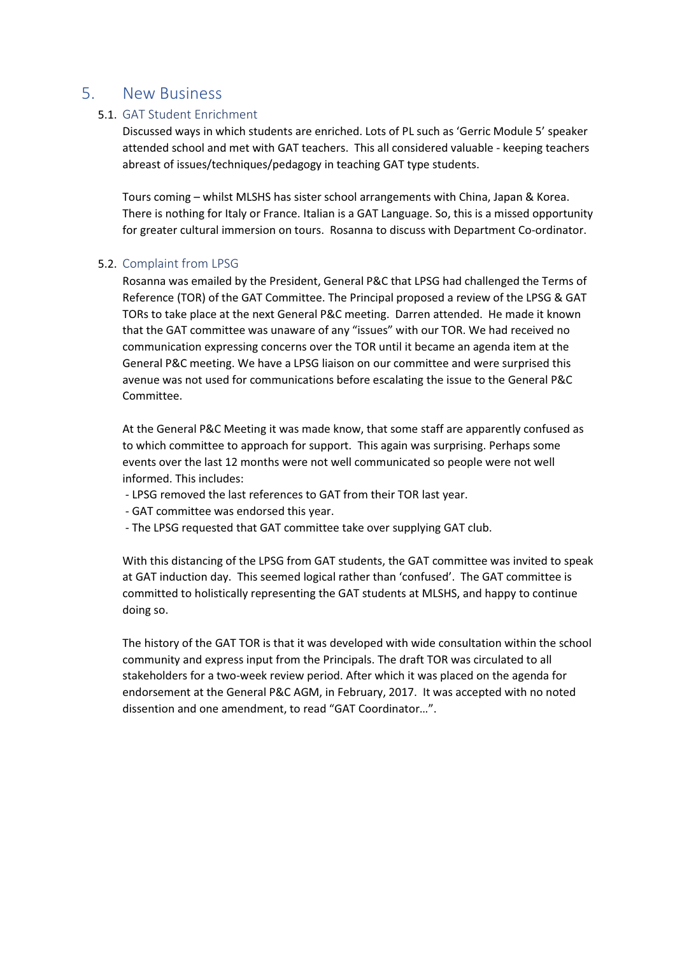## 5. New Business

#### 5.1. GAT Student Enrichment

Discussed ways in which students are enriched. Lots of PL such as 'Gerric Module 5' speaker attended school and met with GAT teachers. This all considered valuable - keeping teachers abreast of issues/techniques/pedagogy in teaching GAT type students.

Tours coming – whilst MLSHS has sister school arrangements with China, Japan & Korea. There is nothing for Italy or France. Italian is a GAT Language. So, this is a missed opportunity for greater cultural immersion on tours. Rosanna to discuss with Department Co-ordinator.

#### 5.2. Complaint from LPSG

Rosanna was emailed by the President, General P&C that LPSG had challenged the Terms of Reference (TOR) of the GAT Committee. The Principal proposed a review of the LPSG & GAT TORs to take place at the next General P&C meeting. Darren attended. He made it known that the GAT committee was unaware of any "issues" with our TOR. We had received no communication expressing concerns over the TOR until it became an agenda item at the General P&C meeting. We have a LPSG liaison on our committee and were surprised this avenue was not used for communications before escalating the issue to the General P&C Committee.

At the General P&C Meeting it was made know, that some staff are apparently confused as to which committee to approach for support. This again was surprising. Perhaps some events over the last 12 months were not well communicated so people were not well informed. This includes:

- LPSG removed the last references to GAT from their TOR last year.
- GAT committee was endorsed this year.
- The LPSG requested that GAT committee take over supplying GAT club.

With this distancing of the LPSG from GAT students, the GAT committee was invited to speak at GAT induction day. This seemed logical rather than 'confused'. The GAT committee is committed to holistically representing the GAT students at MLSHS, and happy to continue doing so.

The history of the GAT TOR is that it was developed with wide consultation within the school community and express input from the Principals. The draft TOR was circulated to all stakeholders for a two-week review period. After which it was placed on the agenda for endorsement at the General P&C AGM, in February, 2017. It was accepted with no noted dissention and one amendment, to read "GAT Coordinator…".